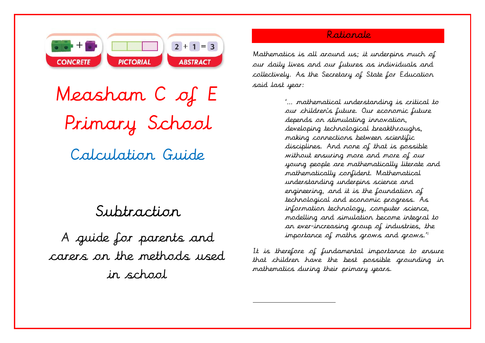

Measham C of E Primary School Calculation Guide

# Subtraction

A guide for parents and carers on the methods used in school

## Rationale

Mathematics is all around us; it underpins much of our daily lives and our futures as individuals and collectively. As the Secretary of State for Education said last year:

> '… mathematical understanding is critical to our children's future. Our economic future depends on stimulating innovation, developing technological breakthroughs, making connections between scientific disciplines. And none of that is possible without ensuring more and more of our young people are mathematically literate and mathematically confident. Mathematical understanding underpins science and engineering, and it is the foundation of technological and economic progress. As information technology, computer science, modelling and simulation become integral to an ever-increasing group of industries, the importance of maths grows and grows."

It is therefore of fundamental importance to ensure that children have the best possible grounding in mathematics during their primary years.

 $\overline{a}$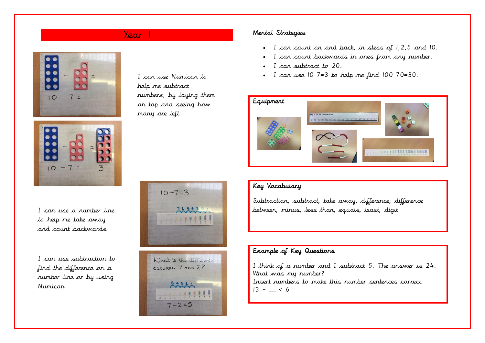



I can use a number line to help me take away and count backwards

I can use subtraction to find the difference on a number line or by using Numicon

I can use Numicon to help me subtract numbers, by laying them on top and seeing how many are left.

## Year 1 Mental Strategies

- I can count on and back, in steps of 1,2,5 and 10.
- I can count backwards in ones from any number.
- I can subtract to 20.
- I can use  $10-7=3$  to help me find  $100-70=30$ .



## Key Vocabulary

Subtraction, subtract, take away, difference, difference between, minus, less than, equals, least, digit

### Example of Key Questions

I think of a number and I subtract 5. The answer is 24. What was my number? Insert numbers to make this number sentences correct.  $13 - 6$ 



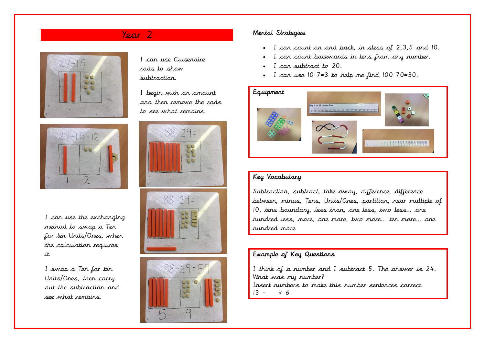



I can use the exchanging method to swap a Ten for ten Units/Ones, when the calculation requires it.

I swap a Ten for ten Units/Ones, then carry out the subtraction and see what remains.

I can use Cuisenaire rods to show subtraction.

I begin with an amount and then remove the rods to see what remains.







## Year 2 Mental Strategies

- I can count on and back, in steps of 2,3,5 and 10.
- I can count backwards in tens from any number.
- I can subtract to 20.
- I can use 10-7=3 to help me find 100-70=30.



## Key Vocabulary

Subtraction, subtract, take away, difference, difference between, minus, Tens, Units/Ones, partition, near multiple of 10, tens boundary, less than, one less, two less… one hundred less, more, one more, two more… ten more… one hundred more

## Example of Key Questions

I think of a number and I subtract 5. The answer is 24. What was my number? Insert numbers to make this number sentences correct.  $13 - 6$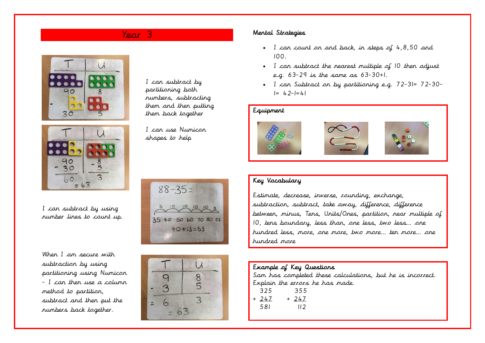I can subtract by partitioning both numbers, subtracting them and then putting them back together

I can use Numicon shapes to help

 $88 - 35 =$ 

 $10 10 10$ 

35 40 50 60 70 80 88  $40 + 13 = 53$ 





I can subtract by using number lines to count up.

When I am secure with subtraction by using partitioning using Numicon - I can then use a column method to partition, subtract and then put the numbers back together.



## Year 3 Mental Strategies

- I can count on and back, in steps of 4,8,50 and 100.
- I can subtract the nearest multiple of 10 then adjust e.g. 63-29 is the same as 63-30+1.
- I can Subtract on by partitioning e.g. 72-31= 72-30-  $I = 42-1=41$

### Equipment







## Key Vocabulary

Estimate, decrease, inverse, rounding, exchange, subtraction, subtract, take away, difference, difference between, minus, Tens, Units/Ones, partition, near multiple of 10, tens boundary, less than, one less, two less… one hundred less, more, one more, two more… ten more… one hundred more

## Example of Key Questions

Sam has completed these calculations, but he is incorrect. Explain the errors he has made.

| 325   | 355   |
|-------|-------|
| + 247 | + 247 |
| 58I   | II 2  |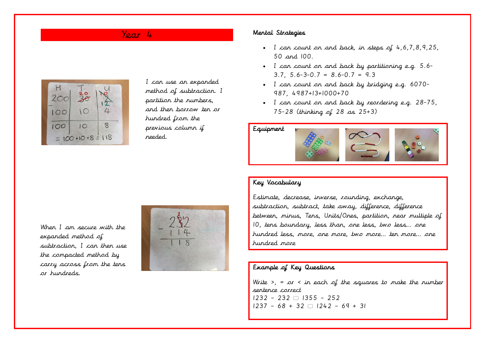

I can use an expanded method of subtraction. I partition the numbers, and then borrow ten or hundred from the previous column if needed.

## Year 4 Mental Strategies

- I can count on and back, in steps of 4,6,7,8,9,25, 50 and 100.
- I can count on and back by partitioning e.g. 5.6- 3.7, 5.6-3-0.7 = 8.6-0.7 = 9.3
- I can count on and back by bridging e.g. 6070- 987, 4987+13+1000+70
- I can count on and back by reordering e.g. 28-75, 75-28 (thinking of 28 as 25+3)



## Key Vocabulary

Estimate, decrease, inverse, rounding, exchange, subtraction, subtract, take away, difference, difference between, minus, Tens, Units/Ones, partition, near multiple of 10, tens boundary, less than, one less, two less… one hundred less, more, one more, two more… ten more… one hundred more

### Example of Key Questions

Write  $\geq$ , = or  $\lt$  in each of the squares to make the number sentence correct  $1232 - 232 \cap 1355 - 252$  $1237 - 68 + 32 \square 1242 - 69 + 31$ 

When I am secure with the expanded method of subtraction, I can then use the compacted method by carry across from the tens or hundreds.

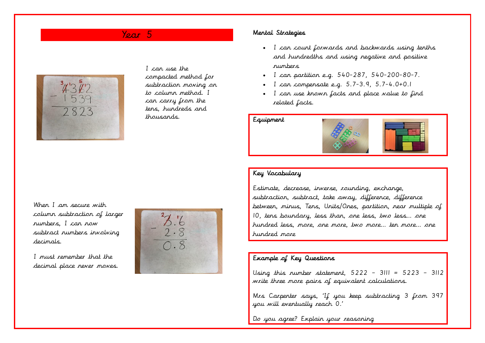## Year 5



I can use the compacted method for subtraction moving on to column method. I can carry from the tens, hundreds and thousands.

### Mental Strategies

- I can count forwards and backwards using tenths and hundredths and using negative and positive numbers
- I can partition e.g. 540-287, 540-200-80-7.
- I can compensate e.g.  $5.7-3.9, 5.7-4.0+0.1$
- I can use known facts and place value to find related facts.

Equipment



### Key Vocabulary

Estimate, decrease, inverse, rounding, exchange, subtraction, subtract, take away, difference, difference between, minus, Tens, Units/Ones, partition, near multiple of 10, tens boundary, less than, one less, two less… one hundred less, more, one more, two more… ten more… one hundred more

### Example of Key Questions

Using this number statement,  $5222 - 3111 = 5223 - 3112$ write three more pairs of equivalent calculations.

Mrs Carpenter says, 'If you keep subtracting 3 from 397 you will eventually reach 0.'

Do you agree? Explain your reasoning

When I am secure with column subtraction of larger numbers, I can now subtract numbers involving decimals.

I must remember that the decimal place never moves.